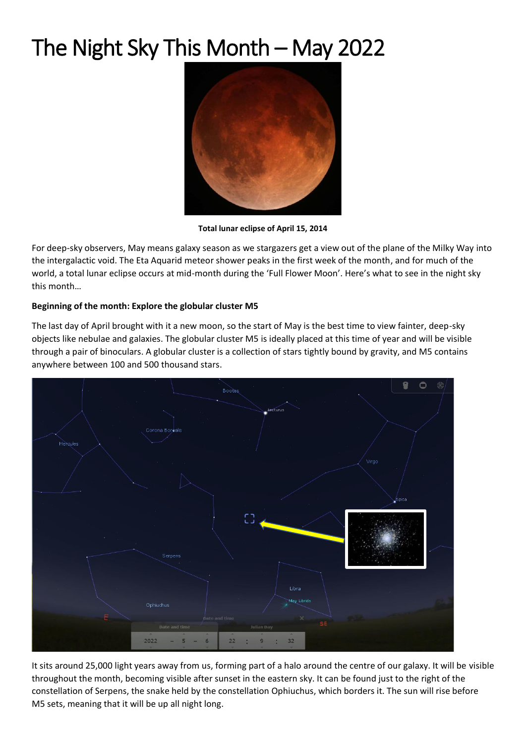## The Night Sky This Month – May 2022



**Total lunar eclipse of April 15, 2014**

For deep-sky observers, May means galaxy season as we stargazers get a view out of the plane of the Milky Way into the intergalactic void. The Eta Aquarid meteor shower peaks in the first week of the month, and for much of the world, a total lunar eclipse occurs at mid-month during the 'Full Flower Moon'. Here's what to see in the night sky this month…

## **Beginning of the month: Explore the globular cluster M5**

The last day of April brought with it a new moon, so the start of May is the best time to view fainter, deep-sky objects like nebulae and galaxies. The globular cluster M5 is ideally placed at this time of year and will be visible through a pair of binoculars. A globular cluster is a collection of stars tightly bound by gravity, and M5 contains anywhere between 100 and 500 thousand stars.



It sits around 25,000 light years away from us, forming part of a halo around the centre of our galaxy. It will be visible throughout the month, becoming visible after sunset in the eastern sky. It can be found just to the right of the constellation of Serpens, the snake held by the constellation Ophiuchus, which borders it. The sun will rise before M5 sets, meaning that it will be up all night long.